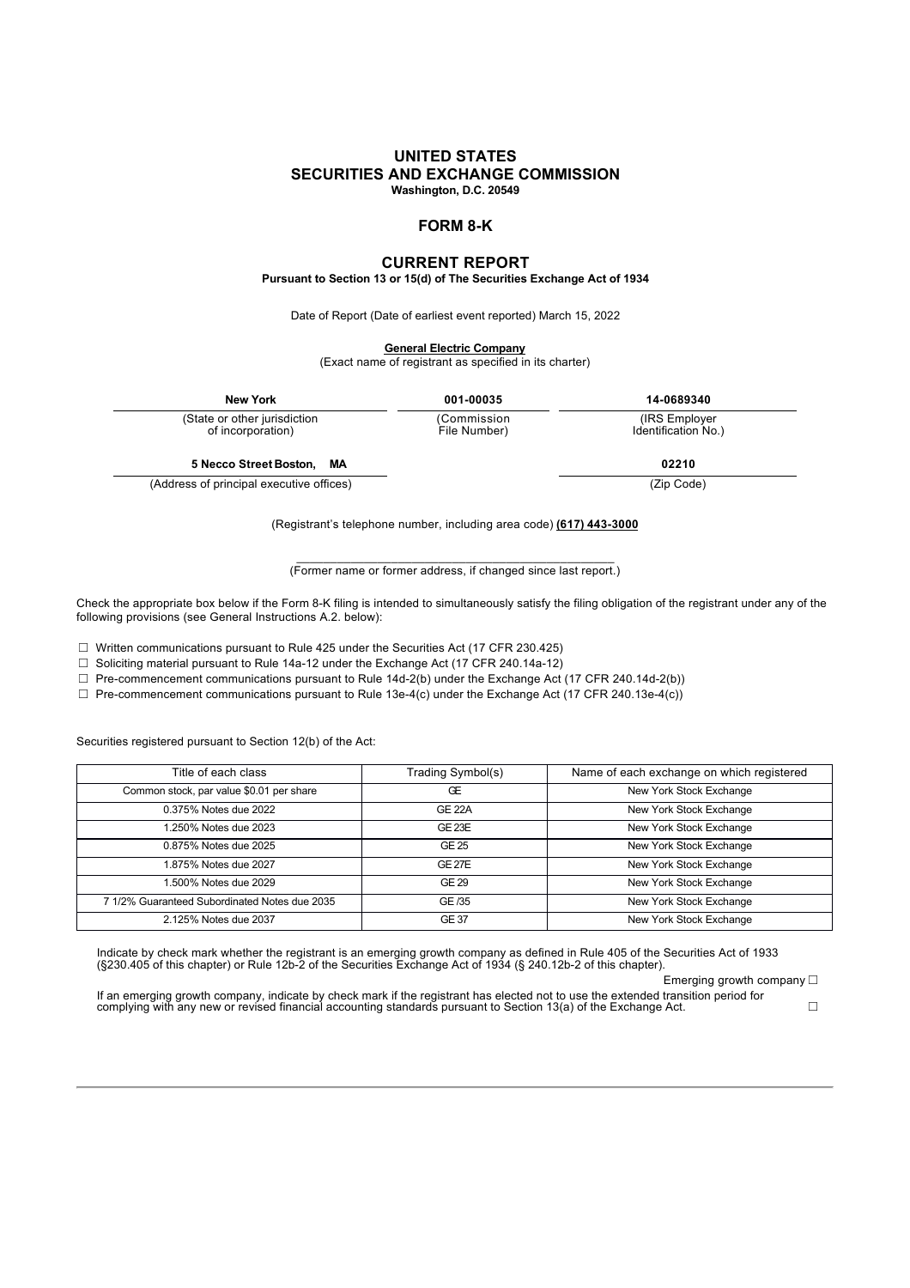#### **UNITED STATES SECURITIES AND EXCHANGE COMMISSION Washington, D.C. 20549**

**FORM 8-K**

## **CURRENT REPORT**

**Pursuant to Section 13 or 15(d) of The Securities Exchange Act of 1934**

Date of Report (Date of earliest event reported) March 15, 2022

**General Electric Company**

(Exact name of registrant as specified in its charter)

| <b>New York</b>                                   | 001-00035                   | 14-0689340                            |  |
|---------------------------------------------------|-----------------------------|---------------------------------------|--|
| (State or other jurisdiction<br>of incorporation) | (Commission<br>File Number) | (IRS Employer)<br>Identification No.) |  |
| 5 Necco Street Boston, MA                         |                             | 02210                                 |  |
| (Address of principal executive offices)          |                             | (Zip Code)                            |  |

(Registrant's telephone number, including area code) **(617) 443-3000**

\_\_\_\_\_\_\_\_\_\_\_\_\_\_\_\_\_\_\_\_\_\_\_\_\_\_\_\_\_\_\_\_\_\_\_\_\_\_\_\_\_\_\_\_\_\_\_ (Former name or former address, if changed since last report.)

Check the appropriate box below if the Form 8-K filing is intended to simultaneously satisfy the filing obligation of the registrant under any of the following provisions (see General Instructions A.2. below):

☐ Written communications pursuant to Rule 425 under the Securities Act (17 CFR 230.425)

☐ Soliciting material pursuant to Rule 14a-12 under the Exchange Act (17 CFR 240.14a-12)

☐ Pre-commencement communications pursuant to Rule 14d-2(b) under the Exchange Act (17 CFR 240.14d-2(b))

 $\Box$  Pre-commencement communications pursuant to Rule 13e-4(c) under the Exchange Act (17 CFR 240.13e-4(c))

Securities registered pursuant to Section 12(b) of the Act:

| Title of each class                           | Trading Symbol(s) | Name of each exchange on which registered |
|-----------------------------------------------|-------------------|-------------------------------------------|
| Common stock, par value \$0.01 per share      | Œ                 | New York Stock Exchange                   |
| 0.375% Notes due 2022                         | <b>GE 22A</b>     | New York Stock Exchange                   |
| 1.250% Notes due 2023                         | <b>GE 23E</b>     | New York Stock Exchange                   |
| 0.875% Notes due 2025                         | GE 25             | New York Stock Exchange                   |
| 1.875% Notes due 2027                         | GF <sub>27F</sub> | New York Stock Exchange                   |
| 1.500% Notes due 2029                         | GE 29             | New York Stock Exchange                   |
| 7 1/2% Guaranteed Subordinated Notes due 2035 | GE /35            | New York Stock Exchange                   |
| 2.125% Notes due 2037                         | <b>GE 37</b>      | New York Stock Exchange                   |

Indicate by check mark whether the registrant is an emerging growth company as defined in Rule 405 of the Securities Act of 1933<br>(§230.405 of this chapter) or Rule 12b-2 of the Securities Exchange Act of 1934 (§ 240.12b-2

Emerging growth company  $\square$ 

If an emerging growth company, indicate by check mark if the registrant has elected not to use the extended transition period for<br>complying with any new or revised financial accounting standards pursuant to Section 13(a)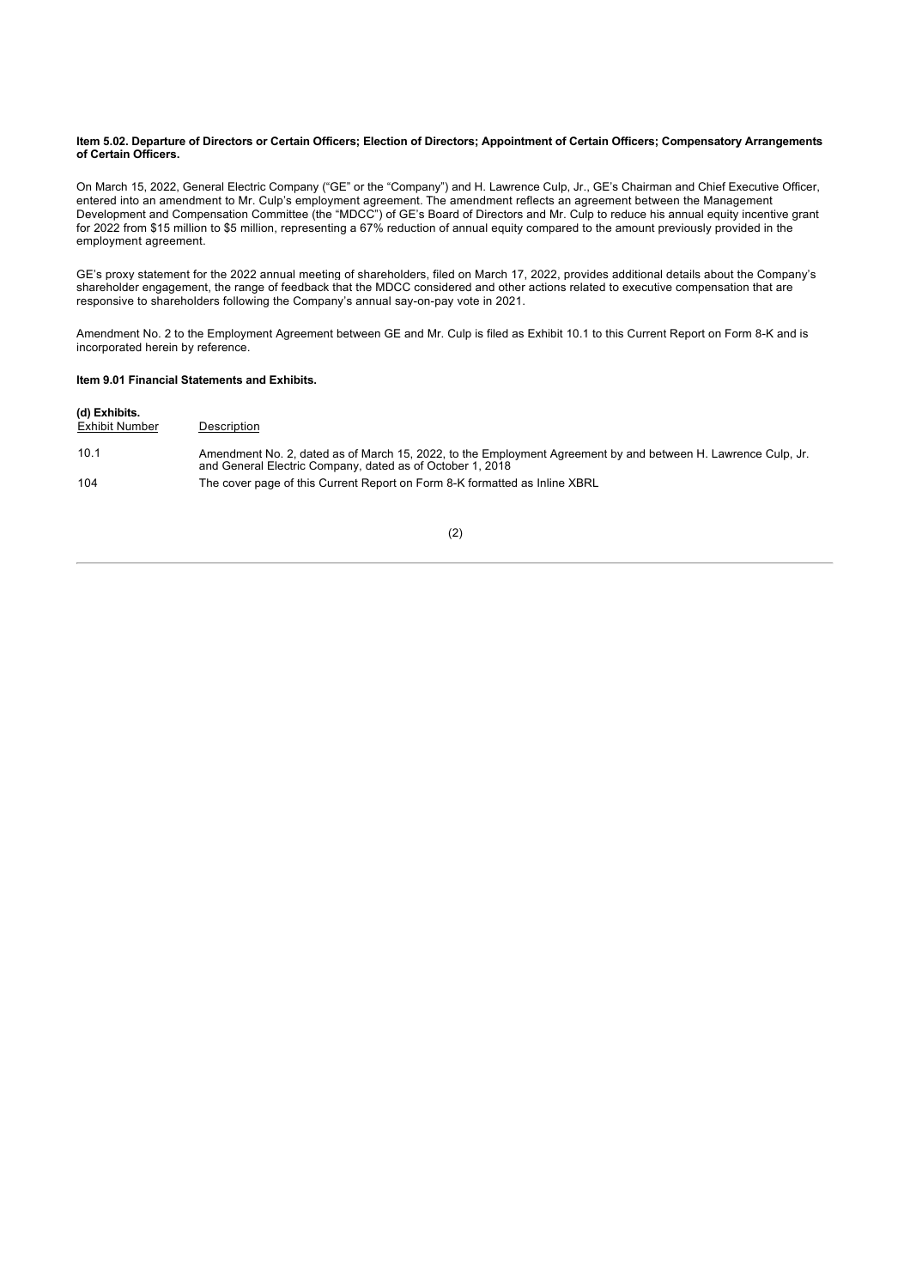#### **Item 5.02. Departure of Directors or Certain Officers; Election of Directors; Appointment of Certain Officers; Compensatory Arrangements of Certain Officers.**

On March 15, 2022, General Electric Company ("GE" or the "Company") and H. Lawrence Culp, Jr., GE's Chairman and Chief Executive Officer, entered into an amendment to Mr. Culp's employment agreement. The amendment reflects an agreement between the Management Development and Compensation Committee (the "MDCC") of GE's Board of Directors and Mr. Culp to reduce his annual equity incentive grant for 2022 from \$15 million to \$5 million, representing a 67% reduction of annual equity compared to the amount previously provided in the employment agreement.

GE's proxy statement for the 2022 annual meeting of shareholders, filed on March 17, 2022, provides additional details about the Company's shareholder engagement, the range of feedback that the MDCC considered and other actions related to executive compensation that are responsive to shareholders following the Company's annual say-on-pay vote in 2021.

Amendment No. 2 to the Employment Agreement between GE and Mr. Culp is filed as Exhibit 10.1 to this Current Report on Form 8-K and is incorporated herein by reference.

#### **Item 9.01 Financial Statements and Exhibits.**

| (d) Exhibits.<br>Exhibit Number | Description                                                                                                                                                                |
|---------------------------------|----------------------------------------------------------------------------------------------------------------------------------------------------------------------------|
| 10.1                            | Amendment No. 2, dated as of March 15, 2022, to the Employment Agreement by and between H. Lawrence Culp, Jr.<br>and General Electric Company, dated as of October 1, 2018 |
| 104                             | The cover page of this Current Report on Form 8-K formatted as Inline XBRL                                                                                                 |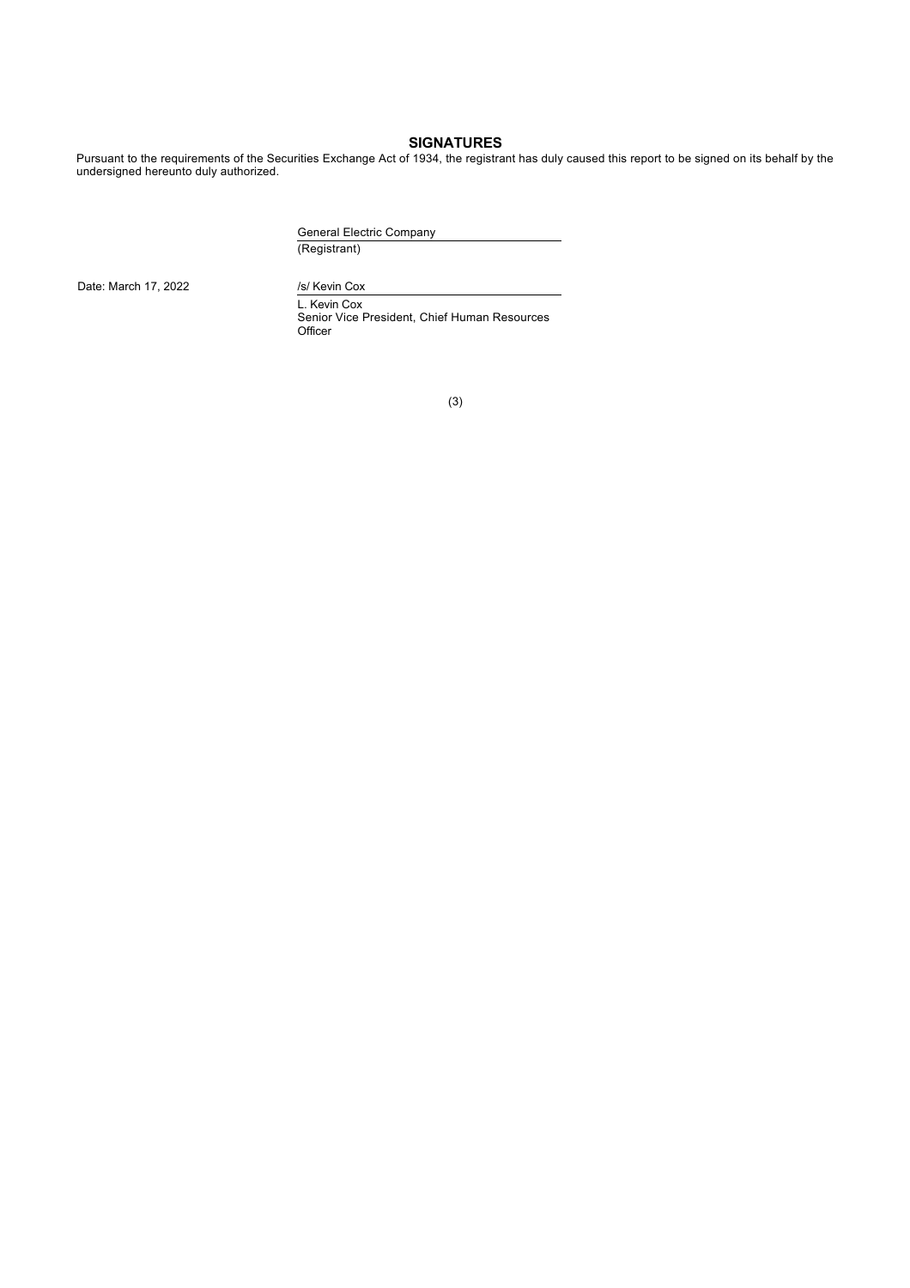### **SIGNATURES**

Pursuant to the requirements of the Securities Exchange Act of 1934, the registrant has duly caused this report to be signed on its behalf by the undersigned hereunto duly authorized.

> General Electric Company (Registrant)

Date: March 17, 2022 /s/ Kevin Cox

L. Kevin Cox Senior Vice President, Chief Human Resources Officer

(3)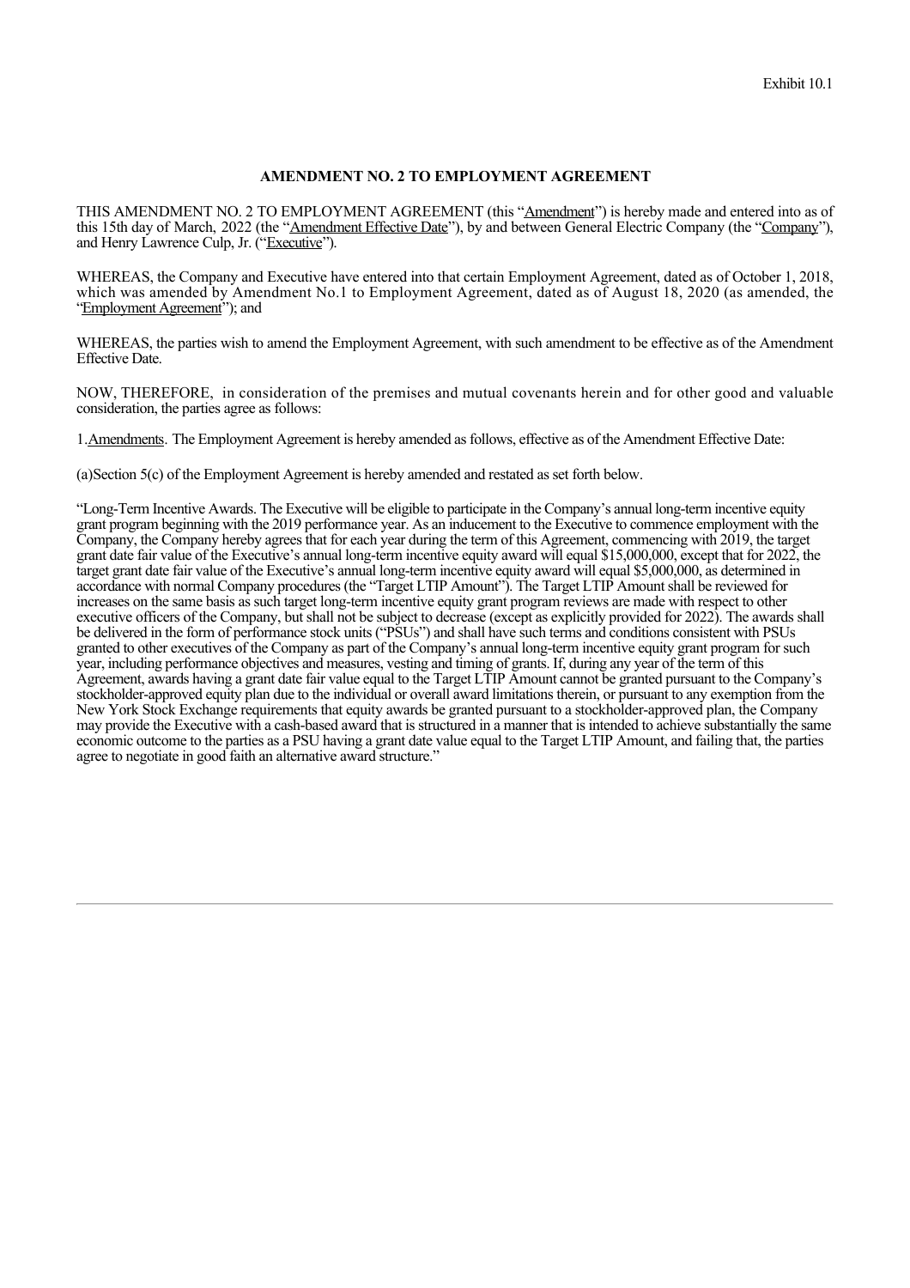### **AMENDMENT NO. 2 TO EMPLOYMENT AGREEMENT**

THIS AMENDMENT NO. 2 TO EMPLOYMENT AGREEMENT (this "Amendment") is hereby made and entered into as of this 15th day of March, 2022 (the "Amendment Effective Date"), by and between General Electric Company (the "Company"), and Henry Lawrence Culp, Jr. ("Executive").

WHEREAS, the Company and Executive have entered into that certain Employment Agreement, dated as of October 1, 2018, which was amended by Amendment No.1 to Employment Agreement, dated as of August 18, 2020 (as amended, the "Employment Agreement"); and

WHEREAS, the parties wish to amend the Employment Agreement, with such amendment to be effective as of the Amendment Effective Date.

NOW, THEREFORE, in consideration of the premises and mutual covenants herein and for other good and valuable consideration, the parties agree as follows:

1.Amendments. The Employment Agreement is hereby amended as follows, effective as of the Amendment Effective Date:

(a)Section 5(c) of the Employment Agreement is hereby amended and restated as set forth below.

"Long-Term Incentive Awards. The Executive will be eligible to participate in the Company's annual long-term incentive equity grant program beginning with the 2019 performance year. As an inducement to the Executive to commence employment with the Company, the Company hereby agrees that for each year during the term of this Agreement, commencing with 2019, the target grant date fair value of the Executive's annual long-term incentive equity award will equal \$15,000,000, except that for 2022, the target grant date fair value of the Executive's annual long-term incentive equity award will equal \$5,000,000, as determined in accordance with normal Company procedures (the "Target LTIP Amount"). The Target LTIP Amount shall be reviewed for increases on the same basis as such target long-term incentive equity grant program reviews are made with respect to other executive officers of the Company, but shall not be subject to decrease (except as explicitly provided for 2022). The awards shall be delivered in the form of performance stock units ("PSUs") and shall have such terms and conditions consistent with PSUs granted to other executives of the Company as part of the Company's annual long-term incentive equity grant program for such year, including performance objectives and measures, vesting and timing of grants. If, during any year of the term of this Agreement, awards having a grant date fair value equal to the Target LTIP Amount cannot be granted pursuant to the Company's stockholder-approved equity plan due to the individual or overall award limitations therein, or pursuant to any exemption from the New York Stock Exchange requirements that equity awards be granted pursuant to a stockholder-approved plan, the Company may provide the Executive with a cash-based award that is structured in a manner that is intended to achieve substantially the same economic outcome to the parties as a PSU having a grant date value equal to the Target LTIP Amount, and failing that, the parties agree to negotiate in good faith an alternative award structure."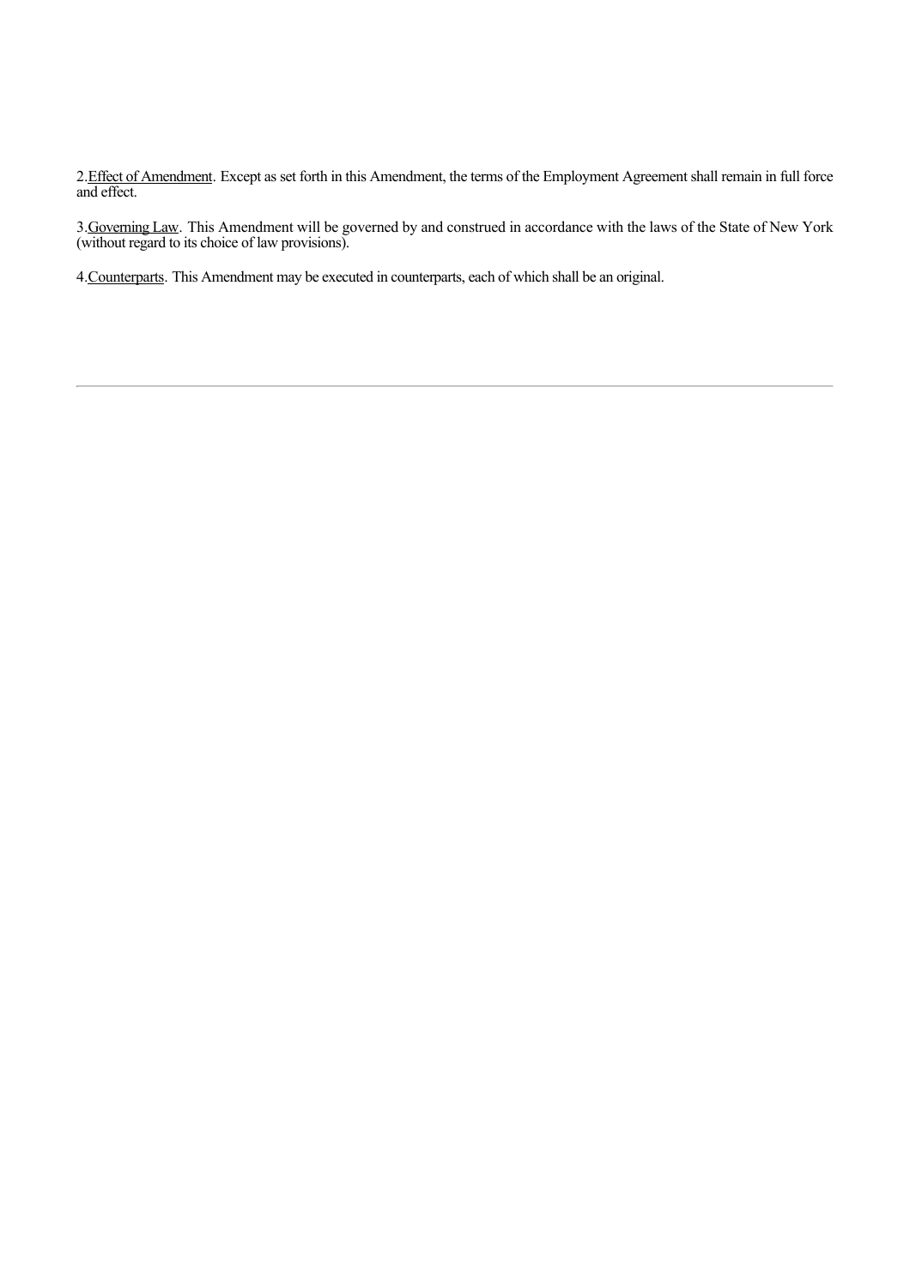2. Effect of Amendment. Except as set forth in this Amendment, the terms of the Employment Agreement shall remain in full force and effect.

3. Governing Law. This Amendment will be governed by and construed in accordance with the laws of the State of New York (without regard to its choice of law provisions).

4.Counterparts. This Amendment may be executed in counterparts, each of which shall be an original.